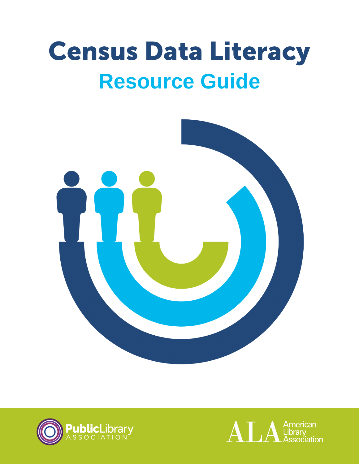# Census Data Literacy **Resource Guide**





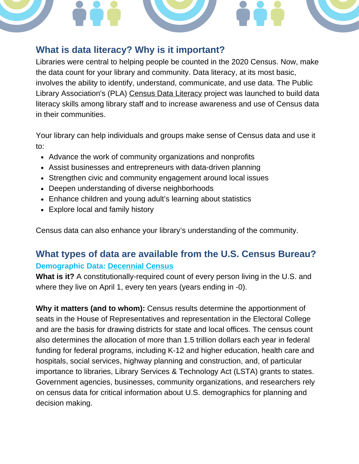# **What is data literacy? Why is it important?**

Libraries were central to helping people be counted in the 2020 Census. Now, make the data count for your library and community. Data literacy, at its most basic, involves the ability to identify, understand, communicate, and use data. The Public Library Association's (PLA) Census Data [Literacy](http://www.ala.org/pla/data/census) project was launched to build data literacy skills among library staff and to increase awareness and use of Census data in their communities.

Your library can help individuals and groups make sense of Census data and use it to:

- Advance the work of community organizations and nonprofits
- Assist businesses and entrepreneurs with data-driven planning
- Strengthen civic and community engagement around local issues
- Deepen understanding of diverse neighborhoods
- Enhance children and young adult's learning about statistics
- Explore local and family history

Census data can also enhance your library's understanding of the community.

# **What types of data are available from the U.S. Census Bureau? Demographic Data: [Decennial](https://www.census.gov/programs-surveys/decennial-census.html) Census**

**What is it?** A constitutionally-required count of every person living in the U.S. and where they live on April 1, every ten years (years ending in -0).

**Why it matters (and to whom):** Census results determine the apportionment of seats in the House of Representatives and representation in the Electoral College and are the basis for drawing districts for state and local offices. The census count also determines the allocation of more than 1.5 trillion dollars each year in federal funding for federal programs, including K-12 and higher education, health care and hospitals, social services, highway planning and construction, and, of particular importance to libraries, Library Services & Technology Act (LSTA) grants to states. Government agencies, businesses, community organizations, and researchers rely on census data for critical information about U.S. demographics for planning and decision making.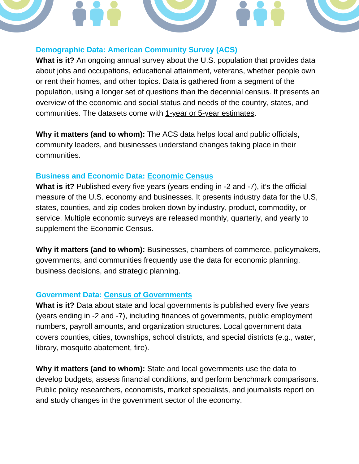### **Demographic Data: American [Community](https://www.census.gov/programs-surveys/acs) Survey (ACS)**

**What is it?** An ongoing annual survey about the U.S. population that provides data about jobs and occupations, educational attainment, veterans, whether people own or rent their homes, and other topics. Data is gathered from a segment of the population, using a longer set of questions than the decennial census. It presents an overview of the economic and social status and needs of the country, states, and communities. The datasets come with 1-year or 5-year [estimates.](https://www.census.gov/programs-surveys/acs/guidance/estimates.html)

**Why it matters (and to whom):** The ACS data helps local and public officials, community leaders, and businesses understand changes taking place in their communities.

### **Business and Economic Data: [Economic](https://www.census.gov/programs-surveys/economic-census.html) Census**

**What is it?** Published every five years (years ending in -2 and -7), it's the official measure of the U.S. economy and businesses. It presents industry data for the U.S, states, counties, and zip codes broken down by industry, product, commodity, or service. Multiple economic surveys are released monthly, quarterly, and yearly to supplement the Economic Census.

**Why it matters (and to whom):** Businesses, chambers of commerce, policymakers, governments, and communities frequently use the data for economic planning, business decisions, and strategic planning.

## **Government Data: Census of [Governments](https://www.census.gov/programs-surveys/cog.html)**

**What is it?** Data about state and local governments is published every five years (years ending in -2 and -7), including finances of governments, public employment numbers, payroll amounts, and organization structures. Local government data covers counties, cities, townships, school districts, and special districts (e.g., water, library, mosquito abatement, fire).

**Why it matters (and to whom):** State and local governments use the data to develop budgets, assess financial conditions, and perform benchmark comparisons. Public policy researchers, economists, market specialists, and journalists report on and study changes in the government sector of the economy.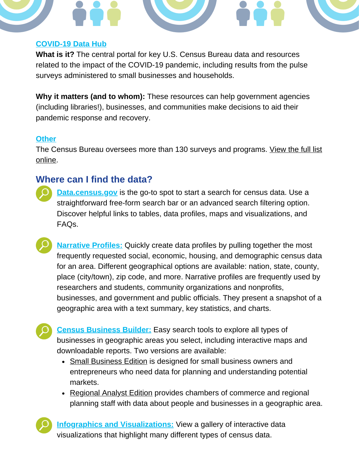### **[COVID-19](https://covid19.census.gov/) Data Hub**

**What is it?** The central portal for key U.S. Census Bureau data and resources related to the impact of the COVID-19 pandemic, including results from the pulse surveys administered to small businesses and households.

**Why it matters (and to whom):** These resources can help government agencies (including libraries!), businesses, and communities make decisions to aid their pandemic response and recovery.

#### **[Other](https://www.census.gov/programs-surveys/surveys-programs.html)**

The Census Bureau oversees more than 130 surveys and [programs.](https://www.census.gov/programs-surveys/surveys-programs.html) View the full list online.

## **Where can I find the data?**

- **[Data.census.gov](https://data.census.gov/cedsci/)** is the go-to spot to start a search for census data. Use a straightforward free-form search bar or an advanced search filtering option. Discover helpful links to tables, data profiles, maps and visualizations, and FAQs.
	- **[Narrative](https://www.census.gov/acs/www/data/data-tables-and-tools/narrative-profiles/) Profiles:** Quickly create data profiles by pulling together the most frequently requested social, economic, housing, and demographic census data for an area. Different geographical options are available: nation, state, county, place (city/town), zip code, and more. Narrative profiles are frequently used by researchers and students, community organizations and nonprofits, businesses, and government and public officials. They present a snapshot of a geographic area with a text summary, key statistics, and charts.

**Census [Business](https://www.census.gov/data/data-tools/cbb.html) Builder:** Easy search tools to explore all types of businesses in geographic areas you select, including interactive maps and downloadable reports. Two versions are available:

- Small [Business](https://cbb.census.gov/sbe/) Edition is designed for small business owners and entrepreneurs who need data for planning and understanding potential markets.
- [Regional](https://cbb.census.gov/rae/) Analyst Edition provides chambers of commerce and regional planning staff with data about people and businesses in a geographic area.

**Infographics and [Visualizations:](https://www.census.gov/content/census/en/library/visualizations.2021.html/)** View a gallery of interactive data visualizations that highlight many different types of census data.